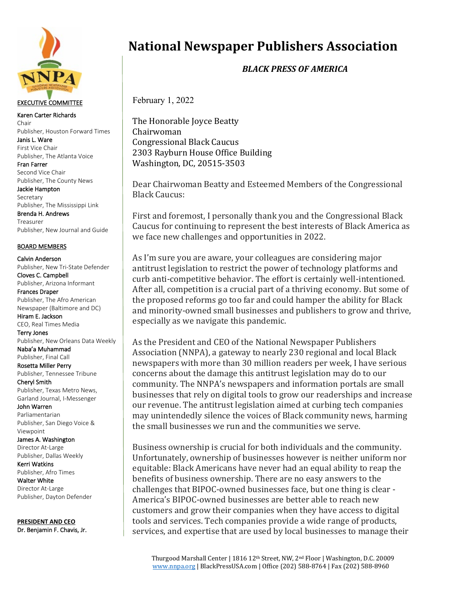

## EXECUTIVE COMMITTEE

Karen Carter Richards Chair Publisher, Houston Forward Times

Janis L. Ware First Vice Chair Publisher, The Atlanta Voice

Fran Farrer Second Vice Chair Publisher, The County News

Jackie Hampton Secretary Publisher, The Mississippi Link

Brenda H. Andrews Treasurer Publisher, New Journal and Guide

## BOARD MEMBERS

Calvin Anderson Publisher, New Tri-State Defender Cloves C. Campbell Publisher, Arizona Informant Frances Draper Publisher, The Afro American Newspaper (Baltimore and DC) Hiram E. Jackson CEO, Real Times Media Terry Jones Publisher, New Orleans Data Weekly Naba'a Muhammad Publisher, Final Call Rosetta Miller Perry Publisher, Tennessee Tribune Cheryl Smith Publisher, Texas Metro News, Garland Journal, I-Messenger John Warren Parliamentarian Publisher, San Diego Voice & Viewpoint James A. Washington Director At-Large Publisher, Dallas Weekly Kerri Watkins Publisher, Afro Times Walter White

Director At-Large Publisher, Dayton Defender

**PRESIDENT AND CEO** Dr. Benjamin F. Chavis, Jr.

## **National Newspaper Publishers Association**

*BLACK PRESS OF AMERICA*

February 1, 2022

The Honorable Joyce Beatty Chairwoman Congressional Black Caucus 2303 Rayburn House Office Building Washington, DC, 20515-3503

Dear Chairwoman Beatty and Esteemed Members of the Congressional Black Caucus:

First and foremost, I personally thank you and the Congressional Black Caucus for continuing to represent the best interests of Black America as we face new challenges and opportunities in 2022.

As I'm sure you are aware, your colleagues are considering major antitrust legislation to restrict the power of technology platforms and curb anti-competitive behavior. The effort is certainly well-intentioned. After all, competition is a crucial part of a thriving economy. But some of the proposed reforms go too far and could hamper the ability for Black and minority-owned small businesses and publishers to grow and thrive, especially as we navigate this pandemic.

As the President and CEO of the National Newspaper Publishers Association (NNPA), a gateway to nearly 230 regional and local Black newspapers with more than 30 million readers per week, I have serious concerns about the damage this antitrust legislation may do to our community. The NNPA's newspapers and information portals are small businesses that rely on digital tools to grow our readerships and increase our revenue. The antitrust legislation aimed at curbing tech companies may unintendedly silence the voices of Black community news, harming the small businesses we run and the communities we serve.

Business ownership is crucial for both individuals and the community. Unfortunately, ownership of businesses however is neither uniform nor equitable: Black Americans have never had an equal ability to reap the benefits of business ownership. There are no easy answers to the challenges that BIPOC-owned businesses face, but one thing is clear - America's BIPOC-owned businesses are better able to reach new customers and grow their companies when they have access to digital tools and services. Tech companies provide a wide range of products, services, and expertise that are used by local businesses to manage their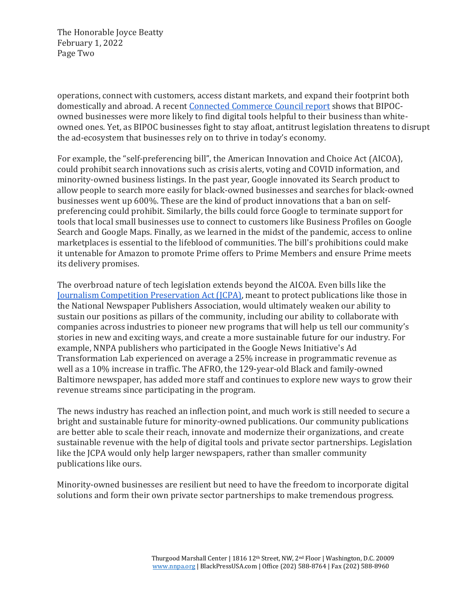The Honorable Joyce Beatty February 1, 2022 Page Two

operations, connect with customers, access distant markets, and expand their footprint both domestically and abroad. A recent [Connected Commerce Council report](https://digitallydriven.connectedcouncil.org/) shows that BIPOCowned businesses were more likely to find digital tools helpful to their business than whiteowned ones. Yet, as BIPOC businesses fight to stay afloat, antitrust legislation threatens to disrupt the ad-ecosystem that businesses rely on to thrive in today's economy.

For example, the "self-preferencing bill", the American Innovation and Choice Act (AICOA), could prohibit search innovations such as crisis alerts, voting and COVID information, and minority-owned business listings. In the past year, Google innovated its Search product to allow people to search more easily for black-owned businesses and searches for black-owned businesses went up 600%. These are the kind of product innovations that a ban on selfpreferencing could prohibit. Similarly, the bills could force Google to terminate support for tools that local small businesses use to connect to customers like Business Profiles on Google Search and Google Maps. Finally, as we learned in the midst of the pandemic, access to online marketplaces is essential to the lifeblood of communities. The bill's prohibitions could make it untenable for Amazon to promote Prime offers to Prime Members and ensure Prime meets its delivery promises.

The overbroad nature of tech legislation extends beyond the AICOA. Even bills like the [Journalism Competition Preservation Act \(JCPA\),](https://www.congress.gov/117/bills/s673/BILLS-117s673is.pdf) meant to protect publications like those in the National Newspaper Publishers Association, would ultimately weaken our ability to sustain our positions as pillars of the community, including our ability to collaborate with companies across industries to pioneer new programs that will help us tell our community's stories in new and exciting ways, and create a more sustainable future for our industry. For example, NNPA publishers who participated in the Google News Initiative's Ad Transformation Lab experienced on average a 25% increase in programmatic revenue as well as a 10% increase in traffic. The AFRO, the 129-year-old Black and family-owned Baltimore newspaper, has added more staff and continues to explore new ways to grow their revenue streams since participating in the program.

The news industry has reached an inflection point, and much work is still needed to secure a bright and sustainable future for minority-owned publications. Our community publications are better able to scale their reach, innovate and modernize their organizations, and create sustainable revenue with the help of digital tools and private sector partnerships. Legislation like the JCPA would only help larger newspapers, rather than smaller community publications like ours.

Minority-owned businesses are resilient but need to have the freedom to incorporate digital solutions and form their own private sector partnerships to make tremendous progress.